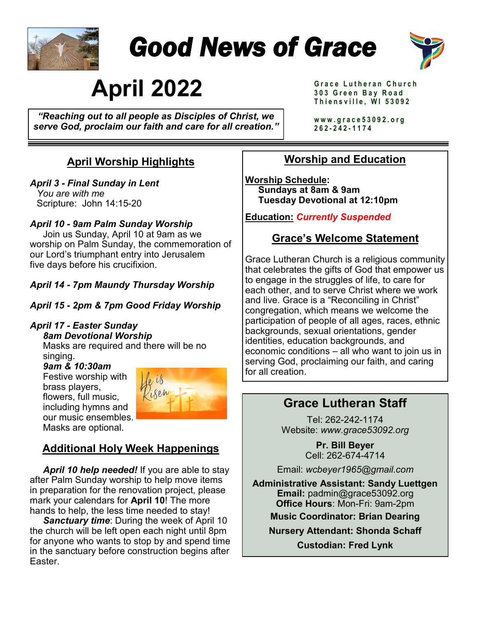

# *Good News of Grace*



# **April 2022**

*"Reaching out to all people as Disciples of Christ, we serve God, proclaim our faith and care for all creation."*  **G r a c e L u t h e r a n C h u r c h 3 0 3 G r e e n B a y R o a d T h i e n s v i l l e , W I 5 3 0 9 2**

**w w w . g r a c e 5 3 0 9 2 . o r g 262 - 2 4 2 - 1 1 7 4** 

## **April Worship Highlights**

#### *April 3* **-** *Final Sunday in Lent*

*You are with me* Scripture: John 14:15-20

#### *April 10 - 9am Palm Sunday Worship*

 Join us Sunday, April 10 at 9am as we worship on Palm Sunday, the commemoration of our Lord's triumphant entry into Jerusalem five days before his crucifixion.

#### *April 14 - 7pm Maundy Thursday Worship*

*April 15 - 2pm & 7pm Good Friday Worship*

#### *April 17 - Easter Sunday 8am Devotional Worship*

Masks are required and there will be no singing.

 *9am & 10:30am*  **Festive worship with**  brass players, flowers, full music, including hymns and our music ensembles. Masks are optional.



## **Additional Holy Week Happenings**

 *April 10 help needed!* If you are able to stay after Palm Sunday worship to help move items in preparation for the renovation project, please mark your calendars for **April 10**! The more hands to help, the less time needed to stay!

 *Sanctuary time*: During the week of April 10 the church will be left open each night until 8pm for anyone who wants to stop by and spend time in the sanctuary before construction begins after Easter.

## **Worship and Education**

**Worship Schedule: Sundays at 8am & 9am Tuesday Devotional at 12:10pm** 

**Education:** *Currently Suspended*

### **Grace's Welcome Statement**

Grace Lutheran Church is a religious community that celebrates the gifts of God that empower us to engage in the struggles of life, to care for each other, and to serve Christ where we work and live. Grace is a "Reconciling in Christ" congregation, which means we welcome the participation of people of all ages, races, ethnic backgrounds, sexual orientations, gender identities, education backgrounds, and economic conditions – all who want to join us in serving God, proclaiming our faith, and caring for all creation.

## **Grace Lutheran Staff**

Tel: 262-242-1174 Website: *www.grace53092.org*

> **Pr. Bill Beyer** Cell: 262-674-4714

Email: *wcbeyer1965@gmail.com*

**Administrative Assistant: Sandy Luettgen Email:** padmin@grace53092.org **Office Hours**: Mon-Fri: 9am-2pm **Music Coordinator: Brian Dearing**

**Nursery Attendant: Shonda Schaff**

**Custodian: Fred Lynk**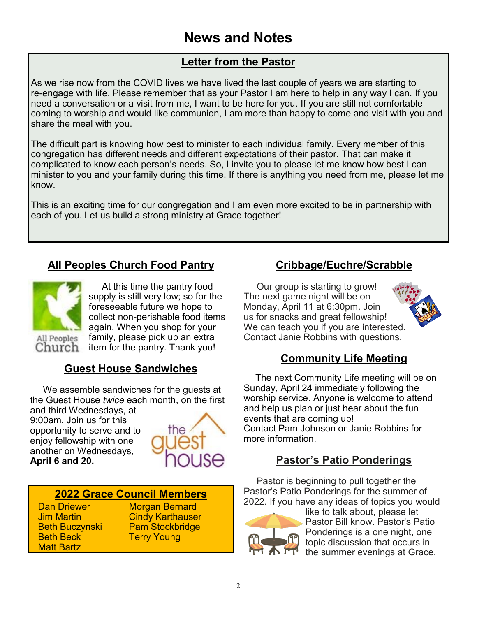## **Letter from the Pastor**

As we rise now from the COVID lives we have lived the last couple of years we are starting to re-engage with life. Please remember that as your Pastor I am here to help in any way I can. If you need a conversation or a visit from me, I want to be here for you. If you are still not comfortable coming to worship and would like communion, I am more than happy to come and visit with you and share the meal with you.

The difficult part is knowing how best to minister to each individual family. Every member of this congregation has different needs and different expectations of their pastor. That can make it complicated to know each person's needs. So, I invite you to please let me know how best I can minister to you and your family during this time. If there is anything you need from me, please let me know.

This is an exciting time for our congregation and I am even more excited to be in partnership with each of you. Let us build a strong ministry at Grace together!

## **All Peoples Church Food Pantry**



 At this time the pantry food supply is still very low; so for the foreseeable future we hope to collect non-perishable food items again. When you shop for your family, please pick up an extra item for the pantry. Thank you!

## **Guest House Sandwiches**

 We assemble sandwiches for the guests at the Guest House *twice* each month, on the first

and third Wednesdays, at 9:00am. Join us for this opportunity to serve and to enjoy fellowship with one another on Wednesdays, **April 6 and 20.** 



#### **2022 Grace Council Members**

Dan Driewer Jim Martin Beth Buczynski Beth Beck Matt Bartz

**Morgan Bernard** Cindy Karthauser Pam Stockbridge Terry Young

## **Cribbage/Euchre/Scrabble**

 Our group is starting to grow! The next game night will be on Monday, April 11 at 6:30pm. Join us for snacks and great fellowship! We can teach you if you are interested. Contact Janie Robbins with questions.

#### **Community Life Meeting**

 The next Community Life meeting will be on Sunday, April 24 immediately following the worship service. Anyone is welcome to attend and help us plan or just hear about the fun events that are coming up! Contact Pam Johnson or Janie Robbins for more information.

## **Pastor's Patio Ponderings**

 Pastor is beginning to pull together the Pastor's Patio Ponderings for the summer of 2022. If you have any ideas of topics you would



like to talk about, please let Pastor Bill know. Pastor's Patio Ponderings is a one night, one topic discussion that occurs in the summer evenings at Grace.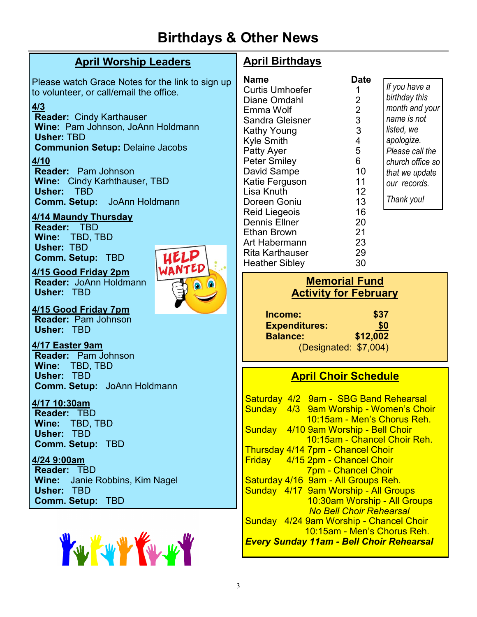## **Birthdays & Other News**

### **April Worship Leaders**

Please watch Grace Notes for the link to sign up to volunteer, or call/email the office.

UELP

#### **4/3**

**Reader:** Cindy Karthauser **Wine:** Pam Johnson, JoAnn Holdmann **Usher:** TBD **Communion Setup:** Delaine Jacobs

#### **4/10**

**Reader:** Pam Johnson **Wine:** Cindy Karhthauser, TBD **Usher:** TBD **Comm. Setup:** JoAnn Holdmann

#### **4/14 Maundy Thursday**

**Reader:** TBD **Wine:** TBD, TBD **Usher:** TBD **Comm. Setup:** TBD

#### **4/15 Good Friday 2pm**

**Reader:** JoAnn Holdmann **Usher:** TBD

**4/15 Good Friday 7pm Reader:** Pam Johnson **Usher:** TBD

**4/17 Easter 9am Reader:** Pam Johnson **Wine:** TBD, TBD **Usher:** TBD **Comm. Setup:** JoAnn Holdmann

#### **4/17 10:30am**

**Reader:** TBD **Wine:** TBD, TBD **Usher:** TBD **Comm. Setup:** TBD

**4/24 9:00am Reader:** TBD **Wine:** Janie Robbins, Kim Nagel **Usher:** TBD **Comm. Setup:** TBD



## **April Birthdays**

| Name                 | <b>Date</b>    |
|----------------------|----------------|
| Curtis Umhoefer      | 1              |
| Diane Omdahl         | $\overline{2}$ |
| Emma Wolf            | $\overline{2}$ |
| Sandra Gleisner      | 3              |
| Kathy Young          | 3              |
| Kyle Smith           | 4              |
| Patty Ayer           | 5              |
| <b>Peter Smiley</b>  | 6              |
| David Sampe          | 10             |
| Katie Ferguson       | 11             |
| Lisa Knuth           | 12             |
| Doreen Goniu         | 13             |
| Reid Liegeois        | 16             |
| <b>Dennis Ellner</b> | 20             |
| <b>Ethan Brown</b>   | 21             |
| Art Habermann        | 23             |
| Rita Karthauser      | 29             |
| Heather Sibley       | 30             |

*If you have a birthday this month and your name is not listed, we apologize. Please call the church office so that we update our records. Thank you!*

### **Memorial Fund Activity for February**

| Income:               | \$37       |
|-----------------------|------------|
| <b>Expenditures:</b>  | <u>\$0</u> |
| <b>Balance:</b>       | \$12,002   |
| (Designated: \$7,004) |            |

## **April Choir Schedule**

Saturday 4/2 9am - SBG Band Rehearsal Sunday 4/3 9am Worship - Women's Choir 10:15am - Men's Chorus Reh. Sunday 4/10 9am Worship - Bell Choir 10:15am - Chancel Choir Reh. Thursday 4/14 7pm - Chancel Choir Friday 4/15 2pm - Chancel Choir 7pm - Chancel Choir Saturday 4/16 9am - All Groups Reh. Sunday 4/17 9am Worship - All Groups 10:30am Worship - All Groups *No Bell Choir Rehearsal* Sunday 4/24 9am Worship - Chancel Choir 10:15am - Men's Chorus Reh. *Every Sunday 11am - Bell Choir Rehearsal*